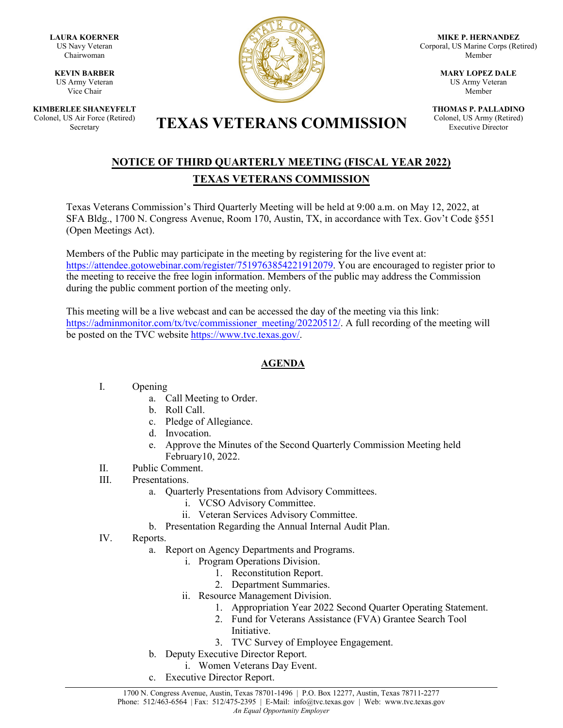**LAURA KOERNER** US Navy Veteran Chairwoman

**KEVIN BARBER** US Army Veteran Vice Chair

**KIMBERLEE SHANEYFELT** Colonel, US Air Force (Retired)



**MIKE P. HERNANDEZ** Corporal, US Marine Corps (Retired) Member

> **MARY LOPEZ DALE** US Army Veteran Member

**THOMAS P. PALLADINO** Colonel, US Army (Retired) Executive Director

# S Air Force (Retired) **TEXAS VETERANS COMMISSION**

## **NOTICE OF THIRD QUARTERLY MEETING (FISCAL YEAR 2022) TEXAS VETERANS COMMISSION**

Texas Veterans Commission's Third Quarterly Meeting will be held at 9:00 a.m. on May 12, 2022, at SFA Bldg., 1700 N. Congress Avenue, Room 170, Austin, TX, in accordance with Tex. Gov't Code §551 (Open Meetings Act).

Members of the Public may participate in the meeting by registering for the live event at: [https://attendee.gotowebinar.com/register/7519763854221912079.](https://attendee.gotowebinar.com/register/7519763854221912079) You are encouraged to register prior to the meeting to receive the free login information. Members of the public may address the Commission during the public comment portion of the meeting only.

This meeting will be a live webcast and can be accessed the day of the meeting via this link: [https://adminmonitor.com/tx/tvc/commissioner\\_meeting/20220512/.](https://nam11.safelinks.protection.outlook.com/?url=https%3A%2F%2Fadminmonitor.com%2Ftx%2Ftvc%2Fcommissioner_meeting%2F20220512%2F&data=04%7C01%7Cgabriel.torres%40tvc.texas.gov%7C5a2536f75a4c4c701f7408da180060f0%7C5935a12b0126410885c8167d8c3fda6e%7C0%7C0%7C637848687151270863%7CUnknown%7CTWFpbGZsb3d8eyJWIjoiMC4wLjAwMDAiLCJQIjoiV2luMzIiLCJBTiI6Ik1haWwiLCJXVCI6Mn0%3D%7C0&sdata=GFCMWPEBHYmyYtpEXTiUq2x8QZGO3ERI1Z%2BlM5U%2Bl3E%3D&reserved=0) A full recording of the meeting will be posted on the TVC websit[e https://www.tvc.texas.gov/.](https://www.tvc.texas.gov/)

### **AGENDA**

#### I. Opening

- a. Call Meeting to Order.
- b. Roll Call.
- c. Pledge of Allegiance.
- d. Invocation.
- e. Approve the Minutes of the Second Quarterly Commission Meeting held February10, 2022.
- II. Public Comment.
- III. Presentations.
	- a. Quarterly Presentations from Advisory Committees.
		- i. VCSO Advisory Committee.
		- ii. Veteran Services Advisory Committee.
	- b. Presentation Regarding the Annual Internal Audit Plan.
- IV. Reports.
	- a. Report on Agency Departments and Programs.
		- i. Program Operations Division.
			- 1. Reconstitution Report.
			- 2. Department Summaries.
		- ii. Resource Management Division.
			- 1. Appropriation Year 2022 Second Quarter Operating Statement.
			- 2. Fund for Veterans Assistance (FVA) Grantee Search Tool Initiative.
			- 3. TVC Survey of Employee Engagement.
	- b. Deputy Executive Director Report.
	- i. Women Veterans Day Event.
	- c. Executive Director Report.